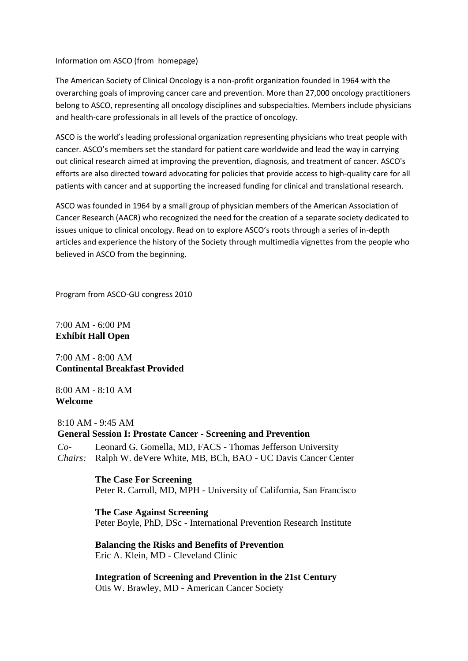Information om ASCO (from homepage)

The American Society of Clinical Oncology is a non-profit organization founded in 1964 with the overarching goals of improving cancer care and prevention. More than 27,000 oncology practitioners belong to ASCO, representing all oncology disciplines and subspecialties. Members include physicians and health-care professionals in all levels of the practice of oncology.

ASCO is the world's leading professional organization representing physicians who treat people with cancer. ASCO's members set the standard for patient care worldwide and lead the way in carrying out clinical research aimed at improving the prevention, diagnosis, and treatment of cancer. ASCO's efforts are also directed toward advocating for policies that provide access to high-quality care for all patients with cancer and at supporting the increased funding for clinical and translational research.

ASCO was founded in 1964 by a small group of physician members of the American Association of Cancer Research (AACR) who recognized the need for the creation of a separate society dedicated to issues unique to clinical oncology. Read on to explore ASCO's roots through a series of in-depth articles and experience the history of the Society through multimedia vignettes from the people who believed in ASCO from the beginning.

Program from ASCO-GU congress 2010

7:00 AM - 6:00 PM **Exhibit Hall Open**

7:00 AM - 8:00 AM **Continental Breakfast Provided**

8:00 AM - 8:10 AM **Welcome**

8:10 AM - 9:45 AM

#### **General Session I: Prostate Cancer - Screening and Prevention**

*Co-Chairs:* Ralph W. deVere White, MB, BCh, BAO - UC Davis Cancer Center Leonard G. Gomella, MD, FACS - Thomas Jefferson University

> **The Case For Screening** Peter R. Carroll, MD, MPH - University of California, San Francisco

**The Case Against Screening** Peter Boyle, PhD, DSc - International Prevention Research Institute

**Balancing the Risks and Benefits of Prevention** Eric A. Klein, MD - Cleveland Clinic

**Integration of Screening and Prevention in the 21st Century** Otis W. Brawley, MD - American Cancer Society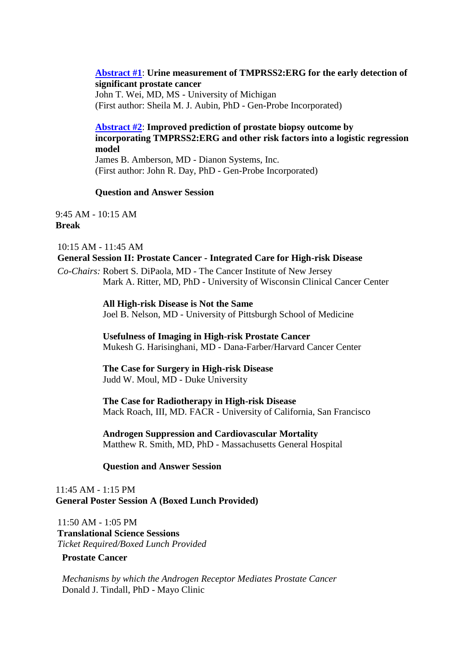#### **[Abstract #1](http://www.asco.org/ASCOv2/Meetings/Abstracts?&vmview=abst_detail_view&confID=73&abstractID=30910)**: **Urine measurement of TMPRSS2:ERG for the early detection of significant prostate cancer**

John T. Wei, MD, MS - University of Michigan (First author: Sheila M. J. Aubin, PhD - Gen-Probe Incorporated)

# **[Abstract #2](http://www.asco.org/ASCOv2/Meetings/Abstracts?&vmview=abst_detail_view&confID=73&abstractID=30934)**: **Improved prediction of prostate biopsy outcome by incorporating TMPRSS2:ERG and other risk factors into a logistic regression model**

James B. Amberson, MD - Dianon Systems, Inc. (First author: John R. Day, PhD - Gen-Probe Incorporated)

#### **Question and Answer Session**

 $9.45$  AM -  $10.15$  AM **Break**

10:15 AM - 11:45 AM **General Session II: Prostate Cancer - Integrated Care for High-risk Disease** *Co-Chairs:* Robert S. DiPaola, MD - The Cancer Institute of New Jersey Mark A. Ritter, MD, PhD - University of Wisconsin Clinical Cancer Center

> **All High-risk Disease is Not the Same** Joel B. Nelson, MD - University of Pittsburgh School of Medicine

**Usefulness of Imaging in High-risk Prostate Cancer** Mukesh G. Harisinghani, MD - Dana-Farber/Harvard Cancer Center

**The Case for Surgery in High-risk Disease** Judd W. Moul, MD - Duke University

**The Case for Radiotherapy in High-risk Disease** Mack Roach, III, MD. FACR - University of California, San Francisco

**Androgen Suppression and Cardiovascular Mortality** Matthew R. Smith, MD, PhD - Massachusetts General Hospital

#### **Question and Answer Session**

11:45 AM - 1:15 PM **General Poster Session A (Boxed Lunch Provided)**

 $11:50$  AM -  $1:05$  PM **Translational Science Sessions** *Ticket Required/Boxed Lunch Provided*

#### **Prostate Cancer**

*Mechanisms by which the Androgen Receptor Mediates Prostate Cancer* Donald J. Tindall, PhD - Mayo Clinic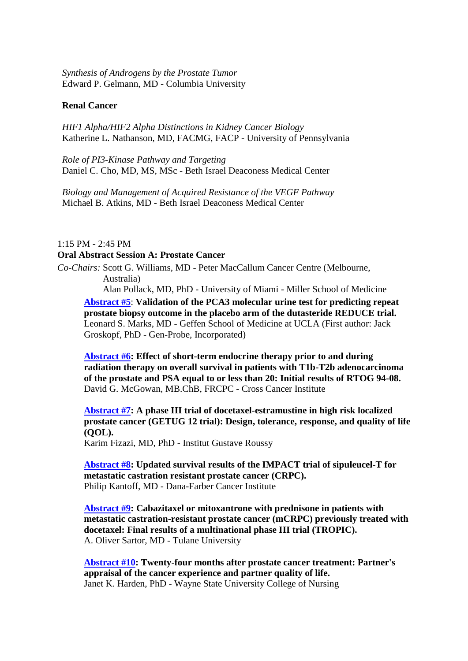*Synthesis of Androgens by the Prostate Tumor* Edward P. Gelmann, MD - Columbia University

#### **Renal Cancer**

*HIF1 Alpha/HIF2 Alpha Distinctions in Kidney Cancer Biology* Katherine L. Nathanson, MD, FACMG, FACP - University of Pennsylvania

*Role of PI3-Kinase Pathway and Targeting* Daniel C. Cho, MD, MS, MSc - Beth Israel Deaconess Medical Center

*Biology and Management of Acquired Resistance of the VEGF Pathway* Michael B. Atkins, MD - Beth Israel Deaconess Medical Center

# 1:15 PM - 2:45 PM **Oral Abstract Session A: Prostate Cancer**

*Co-Chairs:* Scott G. Williams, MD - Peter MacCallum Cancer Centre (Melbourne, Australia)

Alan Pollack, MD, PhD - University of Miami - Miller School of Medicine

**[Abstract #5](http://www.asco.org/ASCOv2/Meetings/Abstracts?&vmview=abst_detail_view&confID=73&abstractID=30817)**: **Validation of the PCA3 molecular urine test for predicting repeat prostate biopsy outcome in the placebo arm of the dutasteride REDUCE trial.** Leonard S. Marks, MD - Geffen School of Medicine at UCLA (First author: Jack Groskopf, PhD - Gen-Probe, Incorporated)

**[Abstract #6:](http://www.asco.org/ASCOv2/Meetings/Abstracts?&vmview=abst_detail_view&confID=73&abstractID=30652) Effect of short-term endocrine therapy prior to and during radiation therapy on overall survival in patients with T1b-T2b adenocarcinoma of the prostate and PSA equal to or less than 20: Initial results of RTOG 94-08.** David G. McGowan, MB.ChB, FRCPC - Cross Cancer Institute

**[Abstract #7:](http://www.asco.org/ASCOv2/Meetings/Abstracts?&vmview=abst_detail_view&confID=73&abstractID=30306) A phase III trial of docetaxel-estramustine in high risk localized prostate cancer (GETUG 12 trial): Design, tolerance, response, and quality of life (QOL).**

Karim Fizazi, MD, PhD - Institut Gustave Roussy

**[Abstract #8:](http://www.asco.org/ASCOv2/Meetings/Abstracts?&vmview=abst_detail_view&confID=73&abstractID=30778) Updated survival results of the IMPACT trial of sipuleucel-T for metastatic castration resistant prostate cancer (CRPC).** Philip Kantoff, MD - Dana-Farber Cancer Institute

**[Abstract #9:](http://www.asco.org/ASCOv2/Meetings/Abstracts?&vmview=abst_detail_view&confID=73&abstractID=30560) Cabazitaxel or mitoxantrone with prednisone in patients with metastatic castration-resistant prostate cancer (mCRPC) previously treated with docetaxel: Final results of a multinational phase III trial (TROPIC).** A. Oliver Sartor, MD - Tulane University

**[Abstract #10:](http://www.asco.org/ASCOv2/Meetings/Abstracts?&vmview=abst_detail_view&confID=73&abstractID=30467) Twenty-four months after prostate cancer treatment: Partner's appraisal of the cancer experience and partner quality of life.** Janet K. Harden, PhD - Wayne State University College of Nursing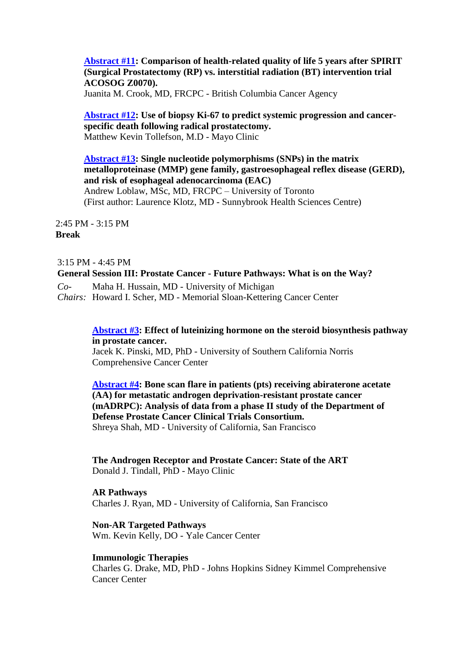**[Abstract #11:](http://www.asco.org/ASCOv2/Meetings/Abstracts?&vmview=abst_detail_view&confID=73&abstractID=30119) Comparison of health-related quality of life 5 years after SPIRIT (Surgical Prostatectomy (RP) vs. interstitial radiation (BT) intervention trial ACOSOG Z0070).**

Juanita M. Crook, MD, FRCPC - British Columbia Cancer Agency

**[Abstract #12:](http://www.asco.org/ASCOv2/Meetings/Abstracts?&vmview=abst_detail_view&confID=73&abstractID=30876) Use of biopsy Ki-67 to predict systemic progression and cancerspecific death following radical prostatectomy.** Matthew Kevin Tollefson, M.D - Mayo Clinic

# **[Abstract #13:](http://www.asco.org/ASCOv2/Meetings/Abstracts?&vmview=abst_detail_view&confID=73&abstractID=30210) Single nucleotide polymorphisms (SNPs) in the matrix metalloproteinase (MMP) gene family, gastroesophageal reflex disease (GERD), and risk of esophageal adenocarcinoma (EAC)**

Andrew Loblaw, MSc, MD, FRCPC – University of Toronto (First author: Laurence Klotz, MD - Sunnybrook Health Sciences Centre)

2:45 PM - 3:15 PM **Break**

3:15 PM - 4:45 PM **General Session III: Prostate Cancer - Future Pathways: What is on the Way?** *Co-Chairs:* Howard I. Scher, MD - Memorial Sloan-Kettering Cancer Center Maha H. Hussain, MD - University of Michigan

# **[Abstract #3:](http://www.asco.org/ASCOv2/Meetings/Abstracts?&vmview=abst_detail_view&confID=73&abstractID=30417) Effect of luteinizing hormone on the steroid biosynthesis pathway in prostate cancer.**

Jacek K. Pinski, MD, PhD - University of Southern California Norris Comprehensive Cancer Center

**[Abstract #4:](http://www.asco.org/ASCOv2/Meetings/Abstracts?&vmview=abst_detail_view&confID=73&abstractID=30269) Bone scan flare in patients (pts) receiving abiraterone acetate (AA) for metastatic androgen deprivation-resistant prostate cancer (mADRPC): Analysis of data from a phase II study of the Department of Defense Prostate Cancer Clinical Trials Consortium.** Shreya Shah, MD - University of California, San Francisco

**The Androgen Receptor and Prostate Cancer: State of the ART** Donald J. Tindall, PhD - Mayo Clinic

**AR Pathways** Charles J. Ryan, MD - University of California, San Francisco

**Non-AR Targeted Pathways** Wm. Kevin Kelly, DO - Yale Cancer Center

**Immunologic Therapies**

Charles G. Drake, MD, PhD - Johns Hopkins Sidney Kimmel Comprehensive Cancer Center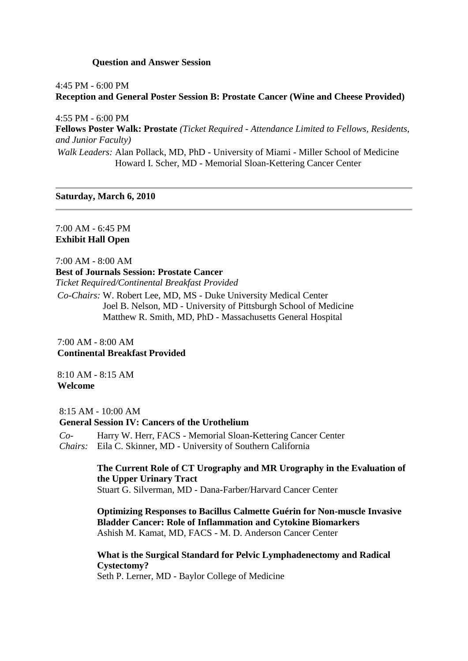#### **Question and Answer Session**

4:45 PM - 6:00 PM **Reception and General Poster Session B: Prostate Cancer (Wine and Cheese Provided)**

4:55 PM - 6:00 PM **Fellows Poster Walk: Prostate** *(Ticket Required - Attendance Limited to Fellows, Residents, and Junior Faculty) Walk Leaders:* Alan Pollack, MD, PhD - University of Miami - Miller School of Medicine Howard I. Scher, MD - Memorial Sloan-Kettering Cancer Center

#### **Saturday, March 6, 2010**

#### 7:00 AM - 6:45 PM **Exhibit Hall Open**

7:00 AM - 8:00 AM **Best of Journals Session: Prostate Cancer** *Ticket Required/Continental Breakfast Provided Co-Chairs:* W. Robert Lee, MD, MS - Duke University Medical Center Joel B. Nelson, MD - University of Pittsburgh School of Medicine Matthew R. Smith, MD, PhD - Massachusetts General Hospital

7:00 AM - 8:00 AM **Continental Breakfast Provided**

8:10 AM - 8:15 AM **Welcome**

8:15 AM - 10:00 AM **General Session IV: Cancers of the Urothelium** *Co-*Harry W. Herr, FACS - Memorial Sloan-Kettering Cancer Center

*Chairs:* Eila C. Skinner, MD - University of Southern California

**The Current Role of CT Urography and MR Urography in the Evaluation of the Upper Urinary Tract** Stuart G. Silverman, MD - Dana-Farber/Harvard Cancer Center

**Optimizing Responses to Bacillus Calmette Guérin for Non-muscle Invasive Bladder Cancer: Role of Inflammation and Cytokine Biomarkers** Ashish M. Kamat, MD, FACS - M. D. Anderson Cancer Center

## **What is the Surgical Standard for Pelvic Lymphadenectomy and Radical Cystectomy?**

Seth P. Lerner, MD - Baylor College of Medicine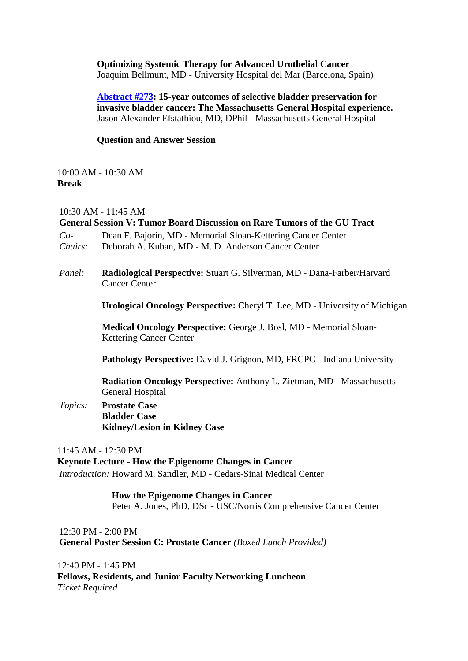# **Optimizing Systemic Therapy for Advanced Urothelial Cancer**

Joaquim Bellmunt, MD - University Hospital del Mar (Barcelona, Spain)

**[Abstract #273:](http://www.asco.org/ASCOv2/Meetings/Abstracts?&vmview=abst_detail_view&confID=73&abstractID=30957) 15-year outcomes of selective bladder preservation for invasive bladder cancer: The Massachusetts General Hospital experience.** Jason Alexander Efstathiou, MD, DPhil - Massachusetts General Hospital

## **Question and Answer Session**

## 10:00 AM - 10:30 AM **Break**

# 10:30 AM - 11:45 AM

## **General Session V: Tumor Board Discussion on Rare Tumors of the GU Tract** *Co-*

- Dean F. Bajorin, MD Memorial Sloan-Kettering Cancer Center
- *Chairs:* Deborah A. Kuban, MD - M. D. Anderson Cancer Center
- *Panel:* **Radiological Perspective:** Stuart G. Silverman, MD Dana-Farber/Harvard Cancer Center

**Urological Oncology Perspective:** Cheryl T. Lee, MD - University of Michigan

**Medical Oncology Perspective:** George J. Bosl, MD - Memorial Sloan-Kettering Cancer Center

**Pathology Perspective:** David J. Grignon, MD, FRCPC - Indiana University

**Radiation Oncology Perspective:** Anthony L. Zietman, MD - Massachusetts General Hospital

*Topics:* **Prostate Case Bladder Case Kidney/Lesion in Kidney Case**

11:45 AM - 12:30 PM **Keynote Lecture - How the Epigenome Changes in Cancer** *Introduction:* Howard M. Sandler, MD - Cedars-Sinai Medical Center

> **How the Epigenome Changes in Cancer** Peter A. Jones, PhD, DSc - USC/Norris Comprehensive Cancer Center

 $12:30$  PM -  $2:00$  PM **General Poster Session C: Prostate Cancer** *(Boxed Lunch Provided)*

12:40 PM - 1:45 PM **Fellows, Residents, and Junior Faculty Networking Luncheon** *Ticket Required*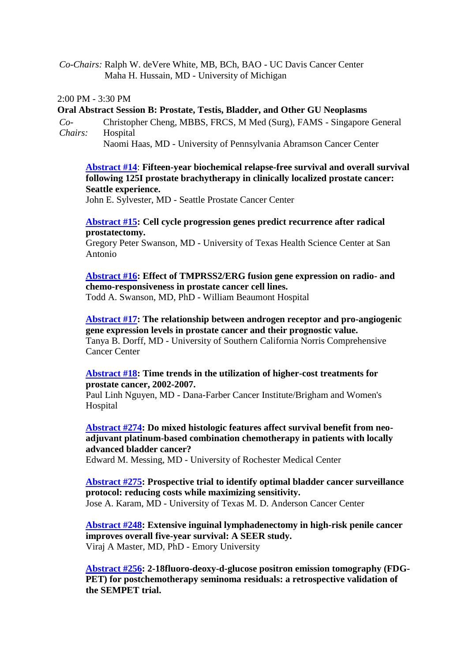*Co-Chairs:* Ralph W. deVere White, MB, BCh, BAO - UC Davis Cancer Center Maha H. Hussain, MD - University of Michigan

2:00 PM - 3:30 PM

#### **Oral Abstract Session B: Prostate, Testis, Bladder, and Other GU Neoplasms**

*Co-Chairs:* Christopher Cheng, MBBS, FRCS, M Med (Surg), FAMS - Singapore General **Hospital** 

Naomi Haas, MD - University of Pennsylvania Abramson Cancer Center

**[Abstract #14](http://www.asco.org/ASCOv2/Meetings/Abstracts?&vmview=abst_detail_view&confID=73&abstractID=30805)**: **Fifteen-year biochemical relapse-free survival and overall survival following 125I prostate brachytherapy in clinically localized prostate cancer: Seattle experience.**

John E. Sylvester, MD - Seattle Prostate Cancer Center

#### **[Abstract #15:](http://www.asco.org/ASCOv2/Meetings/Abstracts?&vmview=abst_detail_view&confID=73&abstractID=30363) Cell cycle progression genes predict recurrence after radical prostatectomy.**

Gregory Peter Swanson, MD - University of Texas Health Science Center at San Antonio

**[Abstract #16:](http://www.asco.org/ASCOv2/Meetings/Abstracts?&vmview=abst_detail_view&confID=73&abstractID=30350) Effect of TMPRSS2/ERG fusion gene expression on radio- and chemo-responsiveness in prostate cancer cell lines.** Todd A. Swanson, MD, PhD - William Beaumont Hospital

**[Abstract #17:](http://www.asco.org/ASCOv2/Meetings/Abstracts?&vmview=abst_detail_view&confID=73&abstractID=30211) The relationship between androgen receptor and pro-angiogenic gene expression levels in prostate cancer and their prognostic value.** Tanya B. Dorff, MD - University of Southern California Norris Comprehensive Cancer Center

#### **[Abstract #18:](http://www.asco.org/ASCOv2/Meetings/Abstracts?&vmview=abst_detail_view&confID=73&abstractID=30993) Time trends in the utilization of higher-cost treatments for prostate cancer, 2002-2007.**

Paul Linh Nguyen, MD - Dana-Farber Cancer Institute/Brigham and Women's Hospital

**[Abstract #274:](http://www.asco.org/ASCOv2/Meetings/Abstracts?&vmview=abst_detail_view&confID=73&abstractID=30750) Do mixed histologic features affect survival benefit from neoadjuvant platinum-based combination chemotherapy in patients with locally advanced bladder cancer?**

Edward M. Messing, MD - University of Rochester Medical Center

**[Abstract #275:](http://www.asco.org/ASCOv2/Meetings/Abstracts?&vmview=abst_detail_view&confID=73&abstractID=30568) Prospective trial to identify optimal bladder cancer surveillance protocol: reducing costs while maximizing sensitivity.** Jose A. Karam, MD - University of Texas M. D. Anderson Cancer Center

**[Abstract #248:](http://www.asco.org/ASCOv2/Meetings/Abstracts?&vmview=abst_detail_view&confID=73&abstractID=30823) Extensive inguinal lymphadenectomy in high-risk penile cancer improves overall five-year survival: A SEER study.** Viraj A Master, MD, PhD - Emory University

**[Abstract #256:](http://www.asco.org/ASCOv2/Meetings/Abstracts?&vmview=abst_detail_view&confID=73&abstractID=30654) 2-18fluoro-deoxy-d-glucose positron emission tomography (FDG-PET) for postchemotherapy seminoma residuals: a retrospective validation of the SEMPET trial.**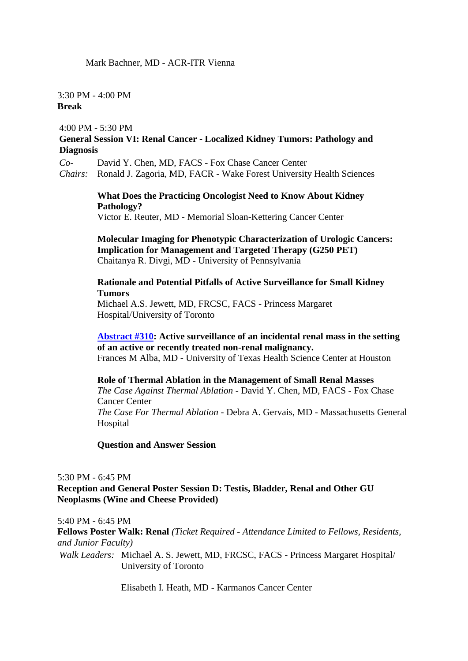Mark Bachner, MD - ACR-ITR Vienna

3:30 PM - 4:00 PM **Break**

4:00 PM - 5:30 PM

# **General Session VI: Renal Cancer - Localized Kidney Tumors: Pathology and Diagnosis**

*Co-*David Y. Chen, MD, FACS - Fox Chase Cancer Center

*Chairs:* Ronald J. Zagoria, MD, FACR - Wake Forest University Health Sciences

# **What Does the Practicing Oncologist Need to Know About Kidney Pathology?**

Victor E. Reuter, MD - Memorial Sloan-Kettering Cancer Center

**Molecular Imaging for Phenotypic Characterization of Urologic Cancers: Implication for Management and Targeted Therapy (G250 PET)** Chaitanya R. Divgi, MD - University of Pennsylvania

# **Rationale and Potential Pitfalls of Active Surveillance for Small Kidney Tumors**

Michael A.S. Jewett, MD, FRCSC, FACS - Princess Margaret Hospital/University of Toronto

#### **[Abstract #310:](http://www.asco.org/ASCOv2/Meetings/Abstracts?&vmview=abst_detail_view&confID=73&abstractID=30765) Active surveillance of an incidental renal mass in the setting of an active or recently treated non-renal malignancy.** Frances M Alba, MD - University of Texas Health Science Center at Houston

**Role of Thermal Ablation in the Management of Small Renal Masses** *The Case Against Thermal Ablation* - David Y. Chen, MD, FACS - Fox Chase Cancer Center *The Case For Thermal Ablation* - Debra A. Gervais, MD - Massachusetts General Hospital

**Question and Answer Session**

# 5:30 PM - 6:45 PM **Reception and General Poster Session D: Testis, Bladder, Renal and Other GU Neoplasms (Wine and Cheese Provided)**

5:40 PM - 6:45 PM

**Fellows Poster Walk: Renal** *(Ticket Required - Attendance Limited to Fellows, Residents, and Junior Faculty)*

*Walk Leaders:* Michael A. S. Jewett, MD, FRCSC, FACS - Princess Margaret Hospital/ University of Toronto

Elisabeth I. Heath, MD - Karmanos Cancer Center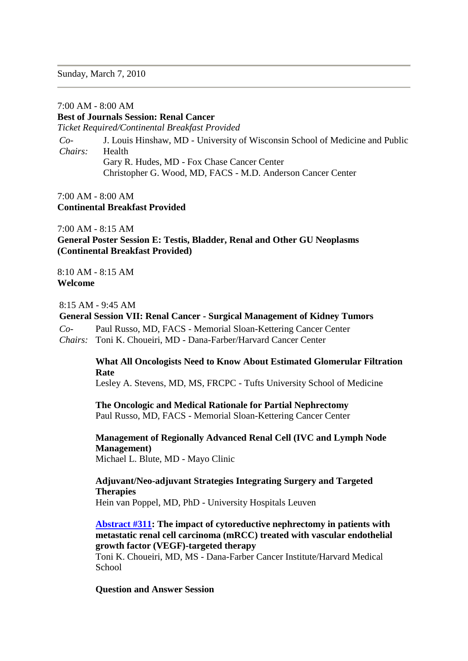#### Sunday, March 7, 2010

#### 7:00 AM - 8:00 AM **Best of Journals Session: Renal Cancer** *Ticket Required/Continental Breakfast Provided*

*Co-Chairs:* J. Louis Hinshaw, MD - University of Wisconsin School of Medicine and Public Health Gary R. Hudes, MD - Fox Chase Cancer Center Christopher G. Wood, MD, FACS - M.D. Anderson Cancer Center

#### 7:00 AM - 8:00 AM **Continental Breakfast Provided**

7:00 AM - 8:15 AM **General Poster Session E: Testis, Bladder, Renal and Other GU Neoplasms (Continental Breakfast Provided)**

8:10 AM - 8:15 AM **Welcome**

#### 8:15 AM - 9:45 AM

#### **General Session VII: Renal Cancer - Surgical Management of Kidney Tumors**

*Co-Chairs:* Toni K. Choueiri, MD - Dana-Farber/Harvard Cancer Center Paul Russo, MD, FACS - Memorial Sloan-Kettering Cancer Center

#### **What All Oncologists Need to Know About Estimated Glomerular Filtration Rate**

Lesley A. Stevens, MD, MS, FRCPC - Tufts University School of Medicine

**The Oncologic and Medical Rationale for Partial Nephrectomy** Paul Russo, MD, FACS - Memorial Sloan-Kettering Cancer Center

# **Management of Regionally Advanced Renal Cell (IVC and Lymph Node Management)**

Michael L. Blute, MD - Mayo Clinic

# **Adjuvant/Neo-adjuvant Strategies Integrating Surgery and Targeted Therapies**

Hein van Poppel, MD, PhD - University Hospitals Leuven

# **[Abstract #311:](http://www.asco.org/ASCOv2/Meetings/Abstracts?&vmview=abst_detail_view&confID=73&abstractID=30469) The impact of cytoreductive nephrectomy in patients with metastatic renal cell carcinoma (mRCC) treated with vascular endothelial growth factor (VEGF)-targeted therapy**

Toni K. Choueiri, MD, MS - Dana-Farber Cancer Institute/Harvard Medical **School** 

#### **Question and Answer Session**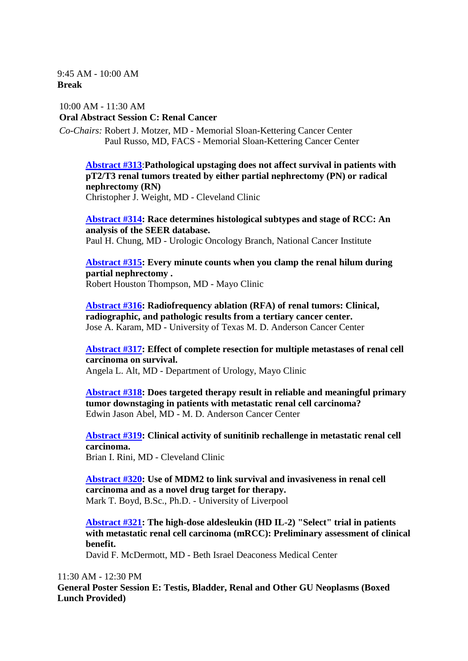9:45 AM - 10:00 AM **Break**

10:00 AM - 11:30 AM **Oral Abstract Session C: Renal Cancer**

*Co-Chairs:* Robert J. Motzer, MD - Memorial Sloan-Kettering Cancer Center Paul Russo, MD, FACS - Memorial Sloan-Kettering Cancer Center

**[Abstract #313](http://www.asco.org/ASCOv2/Meetings/Abstracts?&vmview=abst_detail_view&confID=73&abstractID=30266)**:**Pathological upstaging does not affect survival in patients with pT2/T3 renal tumors treated by either partial nephrectomy (PN) or radical nephrectomy (RN)**

Christopher J. Weight, MD - Cleveland Clinic

**[Abstract #314:](http://www.asco.org/ASCOv2/Meetings/Abstracts?&vmview=abst_detail_view&confID=73&abstractID=30574) Race determines histological subtypes and stage of RCC: An analysis of the SEER database.** Paul H. Chung, MD - Urologic Oncology Branch, National Cancer Institute

**[Abstract #315:](http://www.asco.org/ASCOv2/Meetings/Abstracts?&vmview=abst_detail_view&confID=73&abstractID=30619) Every minute counts when you clamp the renal hilum during partial nephrectomy .** Robert Houston Thompson, MD - Mayo Clinic

**[Abstract #316:](http://www.asco.org/ASCOv2/Meetings/Abstracts?&vmview=abst_detail_view&confID=73&abstractID=30556) Radiofrequency ablation (RFA) of renal tumors: Clinical, radiographic, and pathologic results from a tertiary cancer center.** Jose A. Karam, MD - University of Texas M. D. Anderson Cancer Center

**[Abstract #317:](http://www.asco.org/ASCOv2/Meetings/Abstracts?&vmview=abst_detail_view&confID=73&abstractID=30087) Effect of complete resection for multiple metastases of renal cell carcinoma on survival.** Angela L. Alt, MD - Department of Urology, Mayo Clinic

**[Abstract #318:](http://www.asco.org/ASCOv2/Meetings/Abstracts?&vmview=abst_detail_view&confID=73&abstractID=30771) Does targeted therapy result in reliable and meaningful primary tumor downstaging in patients with metastatic renal cell carcinoma?** Edwin Jason Abel, MD - M. D. Anderson Cancer Center

**[Abstract #319:](http://www.asco.org/ASCOv2/Meetings/Abstracts?&vmview=abst_detail_view&confID=73&abstractID=30062) Clinical activity of sunitinib rechallenge in metastatic renal cell carcinoma.**

Brian I. Rini, MD - Cleveland Clinic

**[Abstract #320:](http://www.asco.org/ASCOv2/Meetings/Abstracts?&vmview=abst_detail_view&confID=73&abstractID=30558) Use of MDM2 to link survival and invasiveness in renal cell carcinoma and as a novel drug target for therapy.** Mark T. Boyd, B.Sc., Ph.D. - University of Liverpool

**[Abstract #321:](http://www.asco.org/ASCOv2/Meetings/Abstracts?&vmview=abst_detail_view&confID=73&abstractID=30609) The high-dose aldesleukin (HD IL-2) "Select" trial in patients with metastatic renal cell carcinoma (mRCC): Preliminary assessment of clinical benefit.**

David F. McDermott, MD - Beth Israel Deaconess Medical Center

11:30 AM - 12:30 PM

**General Poster Session E: Testis, Bladder, Renal and Other GU Neoplasms (Boxed Lunch Provided)**